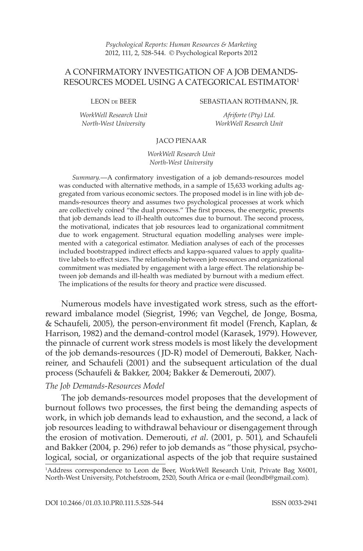*Psychological Reports: Human Resources & Marketing* 2012, 111, 2, 528-544. © Psychological Reports 2012

# A CONFIRMATORY INVESTIGATION OF A JOB DEMANDS-RESOURCES MODEL USING A CATEGORICAL ESTIMATOR1

LEON de BEER

*WorkWell Research Unit North-West University*

SEBASTIAAN ROTHMANN, JR.

*Afriforte (Pty) Ltd. WorkWell Research Unit*

### JACO PIENAAR

*WorkWell Research Unit North-West University*

*Summary.*—A confirmatory investigation of a job demands-resources model was conducted with alternative methods, in a sample of 15,633 working adults aggregated from various economic sectors. The proposed model is in line with job demands-resources theory and assumes two psychological processes at work which are collectively coined "the dual process." The first process, the energetic, presents that job demands lead to ill-health outcomes due to burnout. The second process, the motivational, indicates that job resources lead to organizational commitment due to work engagement. Structural equation modelling analyses were implemented with a categorical estimator. Mediation analyses of each of the processes included bootstrapped indirect effects and kappa-squared values to apply qualitative labels to effect sizes. The relationship between job resources and organizational commitment was mediated by engagement with a large effect. The relationship between job demands and ill-health was mediated by burnout with a medium effect. The implications of the results for theory and practice were discussed.

Numerous models have investigated work stress, such as the effortreward imbalance model (Siegrist, 1996; van Vegchel, de Jonge, Bosma, & Schaufeli, 2005), the person-environment fit model (French, Kaplan, & Harrison, 1982) and the demand-control model (Karasek, 1979). However, the pinnacle of current work stress models is most likely the development of the job demands-resources ( JD-R) model of Demerouti, Bakker, Nachreiner, and Schaufeli (2001) and the subsequent articulation of the dual process (Schaufeli & Bakker, 2004; Bakker & Demerouti, 2007).

### *The Job Demands-Resources Model*

The job demands-resources model proposes that the development of burnout follows two processes, the first being the demanding aspects of work, in which job demands lead to exhaustion, and the second, a lack of job resources leading to withdrawal behaviour or disengagement through the erosion of motivation. Demerouti, *et al*. (2001, p. 501), and Schaufeli and Bakker (2004, p. 296) refer to job demands as "those physical, psychological, social, or organizational aspects of the job that require sustained

<sup>1</sup> Address correspondence to Leon de Beer, WorkWell Research Unit, Private Bag X6001, North-West University, Potchefstroom, 2520, South Africa or e-mail (leondb@gmail.com).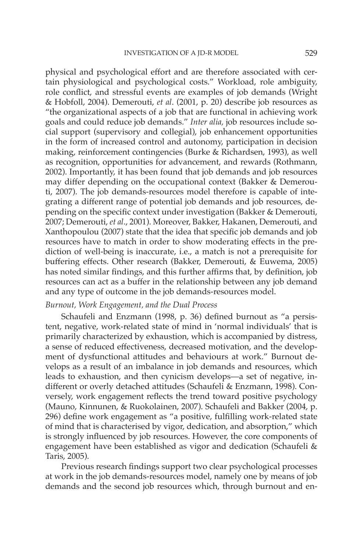physical and psychological effort and are therefore associated with certain physiological and psychological costs." Workload, role ambiguity, role conflict, and stressful events are examples of job demands (Wright & Hobfoll, 2004). Demerouti, *et al*. (2001, p. 20) describe job resources as "the organizational aspects of a job that are functional in achieving work goals and could reduce job demands." *Inter alia,* job resources include social support (supervisory and collegial), job enhancement opportunities in the form of increased control and autonomy, participation in decision making, reinforcement contingencies (Burke & Richardsen, 1993), as well as recognition, opportunities for advancement, and rewards (Rothmann, 2002). Importantly, it has been found that job demands and job resources may differ depending on the occupational context (Bakker & Demerouti, 2007). The job demands-resources model therefore is capable of integrating a different range of potential job demands and job resources, depending on the specific context under investigation (Bakker & Demerouti, 2007; Demerouti, *et al*., 2001). Moreover, Bakker, Hakanen, Demerouti, and Xanthopoulou (2007) state that the idea that specific job demands and job resources have to match in order to show moderating effects in the prediction of well-being is inaccurate, i.e., a match is not a prerequisite for buffering effects. Other research (Bakker, Demerouti, & Euwema, 2005) has noted similar findings, and this further affirms that, by definition, job resources can act as a buffer in the relationship between any job demand and any type of outcome in the job demands-resources model.

## *Burnout, Work Engagement, and the Dual Process*

Schaufeli and Enzmann (1998, p. 36) defined burnout as "a persistent, negative, work-related state of mind in 'normal individuals' that is primarily characterized by exhaustion, which is accompanied by distress, a sense of reduced effectiveness, decreased motivation, and the development of dysfunctional attitudes and behaviours at work." Burnout develops as a result of an imbalance in job demands and resources, which leads to exhaustion, and then cynicism develops—a set of negative, indifferent or overly detached attitudes (Schaufeli & Enzmann, 1998). Conversely, work engagement reflects the trend toward positive psychology (Mauno, Kinnunen, & Ruokolainen, 2007). Schaufeli and Bakker (2004, p. 296) define work engagement as "a positive, fulfilling work-related state of mind that is characterised by vigor, dedication, and absorption," which is strongly influenced by job resources. However, the core components of engagement have been established as vigor and dedication (Schaufeli & Taris, 2005).

Previous research findings support two clear psychological processes at work in the job demands-resources model, namely one by means of job demands and the second job resources which, through burnout and en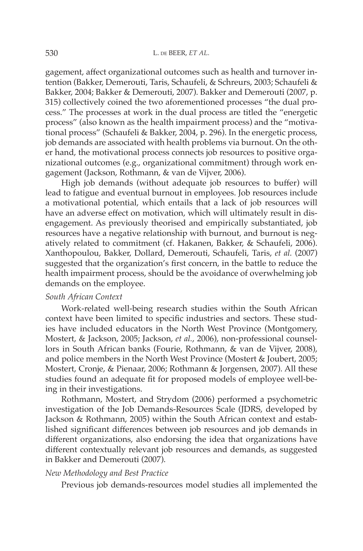gagement, affect organizational outcomes such as health and turnover intention (Bakker, Demerouti, Taris, Schaufeli, & Schreurs, 2003; Schaufeli & Bakker, 2004; Bakker & Demerouti, 2007). Bakker and Demerouti (2007, p. 315) collectively coined the two aforementioned processes "the dual process." The processes at work in the dual process are titled the "energetic process" (also known as the health impairment process) and the "motivational process" (Schaufeli & Bakker, 2004, p. 296). In the energetic process, job demands are associated with health problems via burnout. On the other hand, the motivational process connects job resources to positive organizational outcomes (e.g., organizational commitment) through work engagement (Jackson, Rothmann, & van de Vijver, 2006).

High job demands (without adequate job resources to buffer) will lead to fatigue and eventual burnout in employees. Job resources include a motivational potential, which entails that a lack of job resources will have an adverse effect on motivation, which will ultimately result in disengagement. As previously theorised and empirically substantiated, job resources have a negative relationship with burnout, and burnout is negatively related to commitment (cf. Hakanen, Bakker, & Schaufeli, 2006). Xanthopoulou, Bakker, Dollard, Demerouti, Schaufeli, Taris, *et al.* (2007) suggested that the organization's first concern, in the battle to reduce the health impairment process, should be the avoidance of overwhelming job demands on the employee.

## *South African Context*

Work-related well-being research studies within the South African context have been limited to specific industries and sectors. These studies have included educators in the North West Province (Montgomery, Mostert, & Jackson, 2005; Jackson, *et al.*, 2006), non-professional counsellors in South African banks (Fourie, Rothmann, & van de Vijver, 2008), and police members in the North West Province (Mostert & Joubert, 2005; Mostert, Cronje, & Pienaar, 2006; Rothmann & Jorgensen, 2007). All these studies found an adequate fit for proposed models of employee well-being in their investigations.

Rothmann, Mostert, and Strydom (2006) performed a psychometric investigation of the Job Demands-Resources Scale (JDRS, developed by Jackson & Rothmann, 2005) within the South African context and established significant differences between job resources and job demands in different organizations, also endorsing the idea that organizations have different contextually relevant job resources and demands, as suggested in Bakker and Demerouti (2007).

## *New Methodology and Best Practice*

Previous job demands-resources model studies all implemented the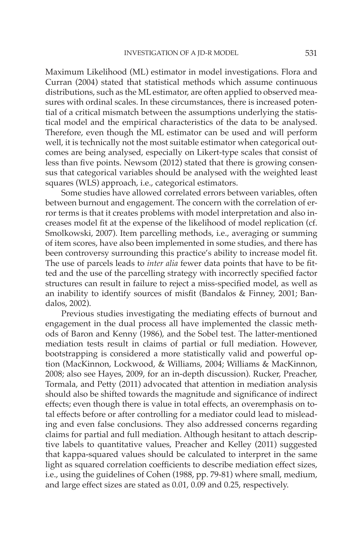Maximum Likelihood (ML) estimator in model investigations. Flora and Curran (2004) stated that statistical methods which assume continuous distributions, such as the ML estimator, are often applied to observed measures with ordinal scales. In these circumstances, there is increased potential of a critical mismatch between the assumptions underlying the statistical model and the empirical characteristics of the data to be analysed. Therefore, even though the ML estimator can be used and will perform well, it is technically not the most suitable estimator when categorical outcomes are being analysed, especially on Likert-type scales that consist of less than five points. Newsom (2012) stated that there is growing consensus that categorical variables should be analysed with the weighted least squares (WLS) approach, i.e., categorical estimators.

Some studies have allowed correlated errors between variables, often between burnout and engagement. The concern with the correlation of error terms is that it creates problems with model interpretation and also increases model fit at the expense of the likelihood of model replication (cf. Smolkowski, 2007). Item parcelling methods, i.e., averaging or summing of item scores, have also been implemented in some studies, and there has been controversy surrounding this practice's ability to increase model fit. The use of parcels leads to *inter alia* fewer data points that have to be fitted and the use of the parcelling strategy with incorrectly specified factor structures can result in failure to reject a miss-specified model, as well as an inability to identify sources of misfit (Bandalos & Finney, 2001; Bandalos, 2002).

Previous studies investigating the mediating effects of burnout and engagement in the dual process all have implemented the classic methods of Baron and Kenny (1986), and the Sobel test. The latter-mentioned mediation tests result in claims of partial or full mediation. However, bootstrapping is considered a more statistically valid and powerful option (MacKinnon, Lockwood, & Williams, 2004; Williams & MacKinnon, 2008; also see Hayes, 2009, for an in-depth discussion). Rucker, Preacher, Tormala, and Petty (2011) advocated that attention in mediation analysis should also be shifted towards the magnitude and significance of indirect effects; even though there is value in total effects, an overemphasis on total effects before or after controlling for a mediator could lead to misleading and even false conclusions. They also addressed concerns regarding claims for partial and full mediation. Although hesitant to attach descriptive labels to quantitative values, Preacher and Kelley (2011) suggested that kappa-squared values should be calculated to interpret in the same light as squared correlation coefficients to describe mediation effect sizes, i.e., using the guidelines of Cohen (1988, pp. 79-81) where small, medium, and large effect sizes are stated as 0.01, 0.09 and 0.25, respectively.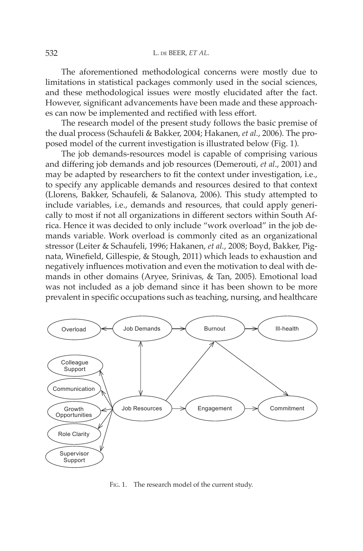The aforementioned methodological concerns were mostly due to limitations in statistical packages commonly used in the social sciences, and these methodological issues were mostly elucidated after the fact. However, significant advancements have been made and these approaches can now be implemented and rectified with less effort.

The research model of the present study follows the basic premise of the dual process (Schaufeli & Bakker, 2004; Hakanen, *et al.*, 2006). The proposed model of the current investigation is illustrated below (Fig. 1).

The job demands-resources model is capable of comprising various and differing job demands and job resources (Demerouti, *et al*., 2001) and may be adapted by researchers to fit the context under investigation, i.e., to specify any applicable demands and resources desired to that context (Llorens, Bakker, Schaufeli, & Salanova, 2006). This study attempted to include variables, i.e., demands and resources, that could apply generically to most if not all organizations in different sectors within South Africa. Hence it was decided to only include "work overload" in the job demands variable. Work overload is commonly cited as an organizational stressor (Leiter & Schaufeli, 1996; Hakanen, *et al.*, 2008; Boyd, Bakker, Pignata, Winefield, Gillespie, & Stough, 2011) which leads to exhaustion and negatively influences motivation and even the motivation to deal with demands in other domains (Aryee, Srinivas, & Tan, 2005). Emotional load was not included as a job demand since it has been shown to be more prevalent in specific occupations such as teaching, nursing, and healthcare



FIG. 1. The research model of the current study.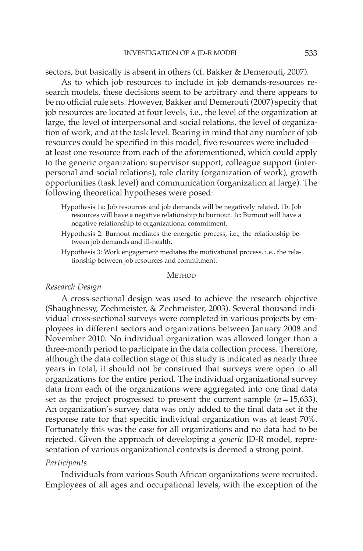sectors, but basically is absent in others (cf. Bakker & Demerouti, 2007).

As to which job resources to include in job demands-resources research models, these decisions seem to be arbitrary and there appears to be no official rule sets. However, Bakker and Demerouti (2007) specify that job resources are located at four levels, i.e., the level of the organization at large, the level of interpersonal and social relations, the level of organization of work, and at the task level. Bearing in mind that any number of job resources could be specified in this model, five resources were included at least one resource from each of the aforementioned, which could apply to the generic organization: supervisor support, colleague support (interpersonal and social relations), role clarity (organization of work), growth opportunities (task level) and communication (organization at large). The following theoretical hypotheses were posed:

- Hypothesis 1a: Job resources and job demands will be negatively related. 1b: Job resources will have a negative relationship to burnout. 1c: Burnout will have a negative relationship to organizational commitment.
- Hypothesis 2: Burnout mediates the energetic process, i.e., the relationship between job demands and ill-health.
- Hypothesis 3: Work engagement mediates the motivational process, i.e., the relationship between job resources and commitment.

**METHOD** 

### *Research Design*

A cross-sectional design was used to achieve the research objective (Shaughnessy, Zechmeister, & Zechmeister, 2003). Several thousand individual cross-sectional surveys were completed in various projects by employees in different sectors and organizations between January 2008 and November 2010. No individual organization was allowed longer than a three-month period to participate in the data collection process. Therefore, although the data collection stage of this study is indicated as nearly three years in total, it should not be construed that surveys were open to all organizations for the entire period. The individual organizational survey data from each of the organizations were aggregated into one final data set as the project progressed to present the current sample  $(n=15,633)$ . An organization's survey data was only added to the final data set if the response rate for that specific individual organization was at least 70%. Fortunately this was the case for all organizations and no data had to be rejected. Given the approach of developing a *generic* JD-R model, representation of various organizational contexts is deemed a strong point.

## *Participants*

Individuals from various South African organizations were recruited. Employees of all ages and occupational levels, with the exception of the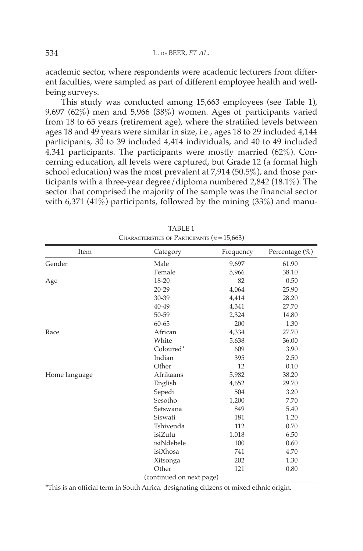academic sector, where respondents were academic lecturers from different faculties, were sampled as part of different employee health and wellbeing surveys.

This study was conducted among 15,663 employees (see Table 1), 9,697 (62%) men and 5,966 (38%) women. Ages of participants varied from 18 to 65 years (retirement age), where the stratified levels between ages 18 and 49 years were similar in size, i.e., ages 18 to 29 included 4,144 participants, 30 to 39 included 4,414 individuals, and 40 to 49 included 4,341 participants. The participants were mostly married (62%). Concerning education, all levels were captured, but Grade 12 (a formal high school education) was the most prevalent at 7,914 (50.5%), and those participants with a three-year degree/diploma numbered 2,842 (18.1%). The sector that comprised the majority of the sample was the financial sector with 6,371 (41%) participants, followed by the mining (33%) and manu-

| Item          | Category                 | Frequency | Percentage $(\%)$ |  |  |
|---------------|--------------------------|-----------|-------------------|--|--|
| Gender        | Male                     | 9,697     | 61.90             |  |  |
|               | Female                   | 5,966     | 38.10             |  |  |
| Age           | 18-20                    | 82        | 0.50              |  |  |
|               | $20 - 29$                | 4,064     | 25.90             |  |  |
|               | $30 - 39$                | 4,414     | 28.20             |  |  |
|               | 40-49                    | 4,341     | 27.70             |  |  |
|               | 50-59                    | 2,324     | 14.80             |  |  |
|               | $60 - 65$                | 200       | 1.30              |  |  |
| Race          | African                  | 4,334     | 27.70             |  |  |
|               | White                    | 5,638     | 36.00             |  |  |
|               | Coloured*                | 609       | 3.90              |  |  |
|               | Indian                   | 395       | 2.50              |  |  |
|               | Other                    | 12        | 0.10              |  |  |
| Home language | Afrikaans                | 5,982     | 38.20             |  |  |
|               | English                  | 4,652     | 29.70             |  |  |
|               | Sepedi                   | 504       | 3.20              |  |  |
|               | Sesotho                  | 1,200     | 7.70              |  |  |
|               | Setswana                 | 849       | 5.40              |  |  |
|               | Siswati                  | 181       | 1.20              |  |  |
|               | Tshivenda                | 112       | 0.70              |  |  |
|               | isiZulu                  | 1,018     | 6.50              |  |  |
|               | isiNdebele               | 100       | 0.60              |  |  |
|               | isiXhosa                 | 741       | 4.70              |  |  |
|               | Xitsonga                 | 202       | 1.30              |  |  |
|               | Other                    | 121       | 0.80              |  |  |
|               | (continued on next page) |           |                   |  |  |

TABLE 1 Characteristics of Participants (*n* = 15,663)

\*This is an official term in South Africa, designating citizens of mixed ethnic origin.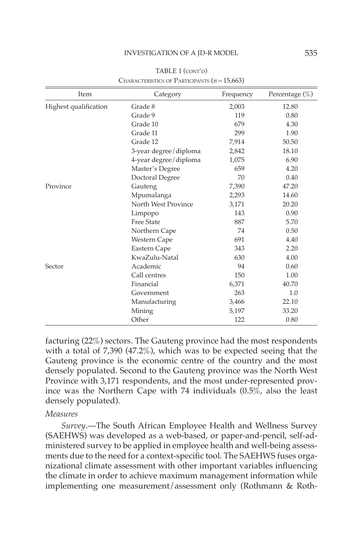| Item                  | Category              | Frequency | Percentage $(\% )$ |  |  |
|-----------------------|-----------------------|-----------|--------------------|--|--|
| Highest qualification | Grade 8               | 2,003     | 12.80              |  |  |
|                       | Grade 9               | 119       | 0.80               |  |  |
|                       | Grade 10              | 679       | 4.30               |  |  |
|                       | Grade 11              | 299       | 1.90               |  |  |
|                       | Grade 12              | 7,914     | 50.50              |  |  |
|                       | 3-year degree/diploma | 2,842     | 18.10              |  |  |
|                       | 4-year degree/diploma | 1,075     | 6.90               |  |  |
|                       | Master's Degree       | 659       | 4.20               |  |  |
|                       | Doctoral Degree       | 70        | 0.40               |  |  |
| Province              | Gauteng               | 7,390     | 47.20              |  |  |
|                       | Mpumalanga            | 2,293     | 14.60              |  |  |
|                       | North West Province   | 3,171     | 20.20              |  |  |
|                       | Limpopo               | 143       | 0.90               |  |  |
|                       | <b>Free State</b>     | 887       | 5.70               |  |  |
|                       | Northern Cape         | 74        | 0.50               |  |  |
|                       | Western Cape          | 691       | 4.40               |  |  |
|                       | Eastern Cape          | 343       | 2.20               |  |  |
|                       | KwaZulu-Natal         | 630       | 4.00               |  |  |
| Sector                | Academic              | 94        | 0.60               |  |  |
|                       | Call centres          | 150       | 1.00               |  |  |
|                       | Financial             | 6,371     | 40.70              |  |  |
|                       | Government            | 263       | 1.0                |  |  |
|                       | Manufacturing         | 3,466     | 22.10              |  |  |
|                       | Mining                | 5,197     | 33.20              |  |  |
|                       | Other                 | 122       | 0.80               |  |  |

TABLE 1 (CONT'D) Characteristics of Participants (*n* = 15,663)

facturing (22%) sectors. The Gauteng province had the most respondents with a total of 7,390 (47.2%), which was to be expected seeing that the Gauteng province is the economic centre of the country and the most densely populated. Second to the Gauteng province was the North West Province with 3,171 respondents, and the most under-represented province was the Northern Cape with 74 individuals (0.5%, also the least densely populated).

## *Measures*

*Survey*.—The South African Employee Health and Wellness Survey (SAEHWS) was developed as a web-based, or paper-and-pencil, self-administered survey to be applied in employee health and well-being assessments due to the need for a context-specific tool. The SAEHWS fuses organizational climate assessment with other important variables influencing the climate in order to achieve maximum management information while implementing one measurement/assessment only (Rothmann & Roth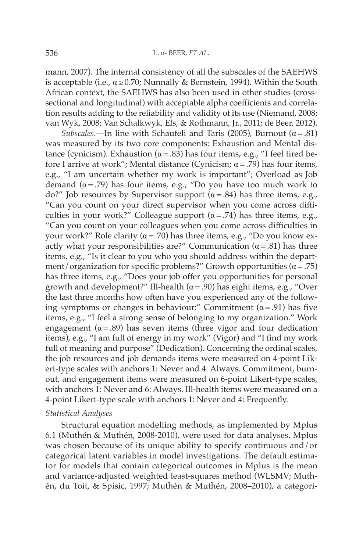mann, 2007). The internal consistency of all the subscales of the SAEHWS is acceptable (i.e.,  $\alpha \ge 0.70$ ; Nunnally & Bernstein, 1994). Within the South African context, the SAEHWS has also been used in other studies (crosssectional and longitudinal) with acceptable alpha coefficients and correlation results adding to the reliability and validity of its use (Niemand, 2008; van Wyk, 2008; Van Schalkwyk, Els, & Rothmann, Jr., 2011; de Beer, 2012).

*Subscales*.—In line with Schaufeli and Taris (2005), Burnout ( $\alpha$  = .81) was measured by its two core components: Exhaustion and Mental distance (cynicism). Exhaustion ( $\alpha$  = .83) has four items, e.g., "I feel tired before I arrive at work"; Mental distance (Cynicism;  $\alpha$  = .79) has four items, e.g., "I am uncertain whether my work is important"; Overload as Job demand ( $\alpha$  = .79) has four items, e.g., "Do you have too much work to do?" Job resources by Supervisor support ( $α = .84$ ) has three items, e.g., "Can you count on your direct supervisor when you come across difficulties in your work?" Colleague support  $(\alpha = .74)$  has three items, e.g., "Can you count on your colleagues when you come across difficulties in your work?" Role clarity ( $\alpha$  = .70) has three items, e.g., "Do you know exactly what your responsibilities are?" Communication  $(\alpha = .81)$  has three items, e.g., "Is it clear to you who you should address within the department/organization for specific problems?" Growth opportunities  $(\alpha = .75)$ has three items, e.g., "Does your job offer you opportunities for personal growth and development?" Ill-health ( $\alpha$  = .90) has eight items, e.g., "Over the last three months how often have you experienced any of the following symptoms or changes in behaviour:" Commitment  $(\alpha = .91)$  has five items, e.g., "I feel a strong sense of belonging to my organization." Work engagement ( $\alpha = .89$ ) has seven items (three vigor and four dedication items), e.g., "I am full of energy in my work" (Vigor) and "I find my work full of meaning and purpose" (Dedication). Concerning the ordinal scales, the job resources and job demands items were measured on 4-point Likert-type scales with anchors 1: Never and 4: Always. Commitment, burnout, and engagement items were measured on 6-point Likert-type scales, with anchors 1: Never and 6: Always. Ill-health items were measured on a 4-point Likert-type scale with anchors 1: Never and 4: Frequently.

## *Statistical Analyses*

Structural equation modelling methods, as implemented by Mplus 6.1 (Muthén & Muthén, 2008-2010), were used for data analyses. Mplus was chosen because of its unique ability to specify continuous and/or categorical latent variables in model investigations. The default estimator for models that contain categorical outcomes in Mplus is the mean and variance-adjusted weighted least-squares method (WLSMV; Muthén, du Toit, & Spisic, 1997; Muthén & Muthén, 2008–2010), a categori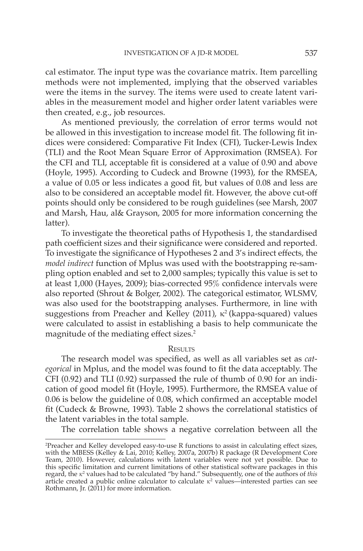cal estimator. The input type was the covariance matrix. Item parcelling methods were not implemented, implying that the observed variables were the items in the survey. The items were used to create latent variables in the measurement model and higher order latent variables were then created, e.g., job resources.

As mentioned previously, the correlation of error terms would not be allowed in this investigation to increase model fit. The following fit indices were considered: Comparative Fit Index (CFI), Tucker-Lewis Index (TLI) and the Root Mean Square Error of Approximation (RMSEA). For the CFI and TLI, acceptable fit is considered at a value of 0.90 and above (Hoyle, 1995). According to Cudeck and Browne (1993), for the RMSEA, a value of 0.05 or less indicates a good fit, but values of 0.08 and less are also to be considered an acceptable model fit. However, the above cut-off points should only be considered to be rough guidelines (see Marsh, 2007 and Marsh, Hau, al& Grayson, 2005 for more information concerning the latter).

To investigate the theoretical paths of Hypothesis 1, the standardised path coefficient sizes and their significance were considered and reported. To investigate the significance of Hypotheses 2 and 3's indirect effects, the *model indirect* function of Mplus was used with the bootstrapping re-sampling option enabled and set to 2,000 samples; typically this value is set to at least 1,000 (Hayes, 2009); bias-corrected 95% confidence intervals were also reported (Shrout & Bolger, 2002). The categorical estimator, WLSMV, was also used for the bootstrapping analyses. Furthermore, in line with suggestions from Preacher and Kelley (2011),  $\kappa^2$  (kappa-squared) values were calculated to assist in establishing a basis to help communicate the magnitude of the mediating effect sizes.<sup>2</sup>

#### **RESULTS**

The research model was specified, as well as all variables set as *categorical* in Mplus, and the model was found to fit the data acceptably. The CFI (0.92) and TLI (0.92) surpassed the rule of thumb of 0.90 for an indication of good model fit (Hoyle, 1995). Furthermore, the RMSEA value of 0.06 is below the guideline of 0.08, which confirmed an acceptable model fit (Cudeck & Browne, 1993). Table 2 shows the correlational statistics of the latent variables in the total sample.

The correlation table shows a negative correlation between all the

<sup>2</sup> Preacher and Kelley developed easy-to-use R functions to assist in calculating effect sizes, with the MBESS (Kelley & Lai, 2010; Kelley, 2007a, 2007b) R package (R Development Core Team, 2010). However, calculations with latent variables were not yet possible. Due to this specific limitation and current limitations of other statistical software packages in this regard, the *κ*<sup>2</sup> values had to be calculated "by hand." Subsequently, one of the authors of *this* article created a public online calculator to calculate *κ*<sup>2</sup> values—interested parties can see Rothmann, Jr. (2011) for more information.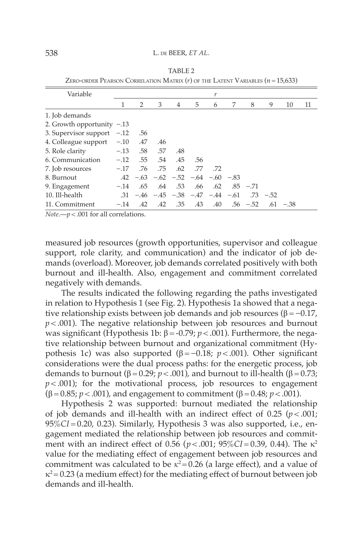#### 538 L. de BEER, *ET AL.*

| Variable                     |        |     |     |                                           |     | r   |   |             |             |             |    |
|------------------------------|--------|-----|-----|-------------------------------------------|-----|-----|---|-------------|-------------|-------------|----|
|                              | 1      | 2   | 3   | 4                                         | 5   | 6   | 7 | 8           | 9           | 10          | 11 |
| 1. Job demands               |        |     |     |                                           |     |     |   |             |             |             |    |
| 2. Growth opportunity $-.13$ |        |     |     |                                           |     |     |   |             |             |             |    |
| 3. Supervisor support $-.12$ |        | .56 |     |                                           |     |     |   |             |             |             |    |
| 4. Colleague support $-.10$  |        | .47 | .46 |                                           |     |     |   |             |             |             |    |
| 5. Role clarity              | $-.13$ | .58 | .57 | .48                                       |     |     |   |             |             |             |    |
| 6. Communication             | $-.12$ | .55 | .54 | .45                                       | .56 |     |   |             |             |             |    |
| 7. Job resources             | $-.17$ | .76 | .75 | .62                                       | .77 | .72 |   |             |             |             |    |
| 8. Burnout                   |        |     |     | $.42 - .63 - .62 - .52 - .64 - .60 - .83$ |     |     |   |             |             |             |    |
| 9. Engagement                | $-.14$ | .65 | .64 | .53                                       | .66 | .62 |   | $.85 - .71$ |             |             |    |
| 10. Ill-health               |        |     |     | $-31 -46 -45 -38 -47 -44 -61$             |     |     |   |             | $.73 - .52$ |             |    |
| 11. Commitment               | $-.14$ | .42 | .42 | .35                                       | .43 | .40 |   | $.56 - .52$ |             | $.61 - .38$ |    |

Table 2 ZERO-ORDER PEARSON CORRELATION MATRIX  $(r)$  of the LATENT VARIABLES  $(n = 15,633)$ 

*Note*.—*p* < .001 for all correlations.

measured job resources (growth opportunities, supervisor and colleague support, role clarity, and communication) and the indicator of job demands (overload). Moreover, job demands correlated positively with both burnout and ill-health. Also, engagement and commitment correlated negatively with demands.

The results indicated the following regarding the paths investigated in relation to Hypothesis 1 (see Fig. 2). Hypothesis 1a showed that a negative relationship exists between job demands and job resources ( $\beta = -0.17$ ,  $p$  < .001). The negative relationship between job resources and burnout was significant (Hypothesis 1b:  $\beta = -0.79$ ;  $p < .001$ ). Furthermore, the negative relationship between burnout and organizational commitment (Hypothesis 1c) was also supported ( $β = -0.18$ ; *p* < .001). Other significant considerations were the dual process paths: for the energetic process, job demands to burnout (β = 0.29;  $p < .001$ ), and burnout to ill-health (β = 0.73;  $p$  < .001); for the motivational process, job resources to engagement (β = 0.85; *p* < .001), and engagement to commitment (β = 0.48; *p* < .001).

Hypothesis 2 was supported: burnout mediated the relationship of job demands and ill-health with an indirect effect of  $0.25$  ( $p < .001$ ; 95%*CI* = 0.20, 0.23). Similarly, Hypothesis 3 was also supported, i.e., engagement mediated the relationship between job resources and commitment with an indirect effect of 0.56 (*p* < .001; 95%*CI* = 0.39, 0.44). The κ2 value for the mediating effect of engagement between job resources and commitment was calculated to be  $\kappa^2$ = 0.26 (a large effect), and a value of  $\kappa^2$  = 0.23 (a medium effect) for the mediating effect of burnout between job demands and ill-health.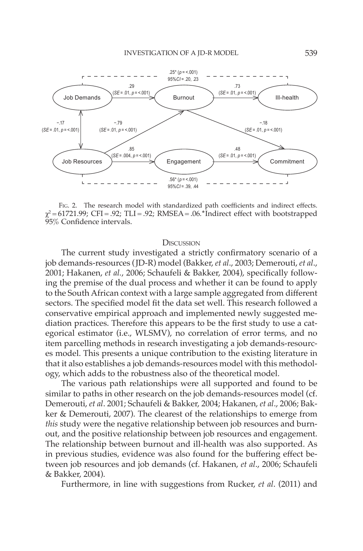

FIG. 2. The research model with standardized path coefficients and indirect effects. χ<sup>2</sup> *=* 61721.99; CFI = .92; TLI = .92; RMSEA= .06*.***\***Indirect effect with bootstrapped 95% Confidence intervals.

#### DISCUSSION

The current study investigated a strictly confirmatory scenario of a job demands-resources (JD-R) model (Bakker, *et al*., 2003; Demerouti, *et al*., 2001; Hakanen, *et al.*, 2006; Schaufeli & Bakker, 2004), specifically following the premise of the dual process and whether it can be found to apply to the South African context with a large sample aggregated from different sectors. The specified model fit the data set well. This research followed a conservative empirical approach and implemented newly suggested mediation practices. Therefore this appears to be the first study to use a categorical estimator (i.e., WLSMV), no correlation of error terms, and no item parcelling methods in research investigating a job demands-resources model. This presents a unique contribution to the existing literature in that it also establishes a job demands-resources model with this methodology, which adds to the robustness also of the theoretical model.

The various path relationships were all supported and found to be similar to paths in other research on the job demands-resources model (cf. Demerouti, *et al*. 2001; Schaufeli & Bakker, 2004; Hakanen, *et al*., 2006; Bakker & Demerouti, 2007). The clearest of the relationships to emerge from *this* study were the negative relationship between job resources and burnout, and the positive relationship between job resources and engagement. The relationship between burnout and ill-health was also supported. As in previous studies, evidence was also found for the buffering effect between job resources and job demands (cf. Hakanen, *et al*., 2006; Schaufeli & Bakker, 2004).

Furthermore, in line with suggestions from Rucker, *et al*. (2011) and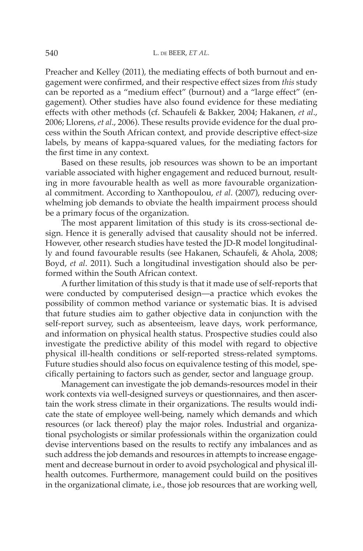Preacher and Kelley (2011), the mediating effects of both burnout and engagement were confirmed, and their respective effect sizes from *this* study can be reported as a "medium effect" (burnout) and a "large effect" (engagement). Other studies have also found evidence for these mediating effects with other methods (cf. Schaufeli & Bakker, 2004; Hakanen, *et al*., 2006; Llorens, *et al*., 2006). These results provide evidence for the dual process within the South African context, and provide descriptive effect-size labels, by means of kappa-squared values, for the mediating factors for the first time in any context.

Based on these results, job resources was shown to be an important variable associated with higher engagement and reduced burnout, resulting in more favourable health as well as more favourable organizational commitment. According to Xanthopoulou, *et al*. (2007), reducing overwhelming job demands to obviate the health impairment process should be a primary focus of the organization.

The most apparent limitation of this study is its cross-sectional design. Hence it is generally advised that causality should not be inferred. However, other research studies have tested the JD-R model longitudinally and found favourable results (see Hakanen, Schaufeli, & Ahola, 2008; Boyd, *et al*. 2011). Such a longitudinal investigation should also be performed within the South African context.

A further limitation of this study is that it made use of self-reports that were conducted by computerised design—a practice which evokes the possibility of common method variance or systematic bias. It is advised that future studies aim to gather objective data in conjunction with the self-report survey, such as absenteeism, leave days, work performance, and information on physical health status. Prospective studies could also investigate the predictive ability of this model with regard to objective physical ill-health conditions or self-reported stress-related symptoms. Future studies should also focus on equivalence testing of this model, specifically pertaining to factors such as gender, sector and language group.

Management can investigate the job demands-resources model in their work contexts via well-designed surveys or questionnaires, and then ascertain the work stress climate in their organizations. The results would indicate the state of employee well-being, namely which demands and which resources (or lack thereof) play the major roles. Industrial and organizational psychologists or similar professionals within the organization could devise interventions based on the results to rectify any imbalances and as such address the job demands and resources in attempts to increase engagement and decrease burnout in order to avoid psychological and physical illhealth outcomes. Furthermore, management could build on the positives in the organizational climate, i.e., those job resources that are working well,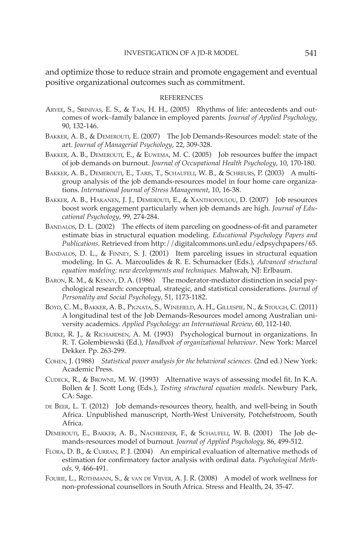and optimize those to reduce strain and promote engagement and eventual positive organizational outcomes such as commitment.

#### **REFERENCES**

- Aryee, S., Srinivas, E. S., & Tan, H. H., (2005) Rhythms of life: antecedents and outcomes of work–family balance in employed parents*. Journal of Applied Psychology*, 90, 132-146.
- BAKKER, A. B., & DEMEROUTI, E. (2007) The Job Demands-Resources model: state of the art. *Journal of Managerial Psychology*, 22, 309-328.
- BAKKER, A. B., DEMEROUTI, E., & EUWEMA, M. C. (2005) Job resources buffer the impact of job demands on burnout. *Journal of Occupational Health Psychology*, 10, 170-180.
- BAKKER, A. B., DEMEROUTI, E., TARIS, T., SCHAUFELI, W. B., & SCHREURS, P. (2003) A multigroup analysis of the job demands-resources model in four home care organizations. *International Journal of Stress Management*, 10, 16-38.
- Bakker, A. B., Hakanen, J. J., Demerouti, E., & Xanthopoulou, D. (2007) Job resources boost work engagement particularly when job demands are high. *Journal of Educational Psychology*, 99, 274-284.
- BANDALOS, D. L. (2002) The effects of item parceling on goodness-of-fit and parameter estimate bias in structural equation modeling*. Educational Psychology Papers and Publications*. Retrieved from http://digitalcommons.unl.edu/edpsychpapers/65.
- BANDALOS, D. L., & FINNEY, S. J. (2001) Item parceling issues in structural equation modeling. In G. A. Marcoulides & R. E. Schumacker (Eds.), *Advanced structural equation modeling: new developments and techniques.* Mahwah, NJ: Erlbaum.
- Baron, R. M., & Kenny, D. A. (1986) The moderator-mediator distinction in social psychological research: conceptual, strategic, and statistical considerations*. Journal of Personality and Social Psychology*, 51, 1173-1182.
- Boyd, C. M., Bakker, A. B., Pignata, S., Winefield, A. H., Gillespie, N., & Stough, C. (2011) A longitudinal test of the Job Demands-Resources model among Australian university academics. *Applied Psychology: an International Review,* 60, 112-140.
- BURKE, R. J., & RICHARDSEN, A. M. (1993) Psychological burnout in organizations. In R. T. Golembiewski (Ed.), *Handbook of organizational behaviour*. New York: Marcel Dekker. Pp. 263-299.
- Cohen, J. (1988) *Statistical power analysis for the behavioral sciences.* (2nd ed.) New York: Academic Press.
- Cudeck, R., & Browne, M. W. (1993) Alternative ways of assessing model fit. In K.A. Bollen & J. Scott Long (Eds.), *Testing structural equation models*. Newbury Park, CA: Sage.
- DE BEER, L. T. (2012) Job demands-resources theory, health, and well-being in South Africa. Unpublished manuscript, North-West University, Potchefstroom, South Africa.
- Demerouti, E., Bakker, A. B., Nachreiner, F., & Schaufeli, W. B. (2001) The Job demands-resources model of burnout. *Journal of Applied Psychology,* 86, 499-512.
- FLORA, D. B., & CURRAN, P. J. (2004) An empirical evaluation of alternative methods of estimation for confirmatory factor analysis with ordinal data. *Psychological Methods,* 9, 466-491.
- Fourie, L., Rothmann, S., & van de Vijver, A. J. R. (2008) A model of work wellness for non-professional counsellors in South Africa. Stress and Health, 24, 35-47.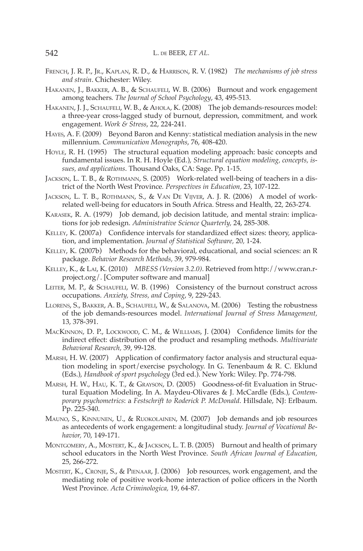- French, J. R. P., Jr., Kaplan, R. D., & Harrison, R. V. (1982) *The mechanisms of job stress and strain*. Chichester: Wiley.
- Hakanen, J., Bakker, A. B., & Schaufeli, W. B. (2006) Burnout and work engagement among teachers*. The Journal of School Psychology*, 43, 495-513.
- Hakanen, J. J., Schaufeli, W. B., & Ahola, K. (2008) The job demands-resources model: a three-year cross-lagged study of burnout, depression, commitment, and work engagement. *Work & Stress*, 22, 224-241.
- Hayes, A. F. (2009) Beyond Baron and Kenny: statistical mediation analysis in the new millennium. *Communication Monographs*, 76, 408-420.
- HOYLE, R. H. (1995) The structural equation modeling approach: basic concepts and fundamental issues. In R. H. Hoyle (Ed.), *Structural equation modeling, concepts, issues, and applications*. Thousand Oaks, CA: Sage. Pp. 1-15.
- Jackson, L. T. B., & Rothmann, S. (2005) Work-related well-being of teachers in a district of the North West Province*. Perspectives in Education,* 23, 107-122.
- JACKSON, L. T. B., ROTHMANN, S., & VAN DE VIJVER, A. J. R. (2006) A model of workrelated well-being for educators in South Africa. Stress and Health, 22, 263-274.
- Karasek, R. A. (1979) Job demand, job decision latitude, and mental strain: implications for job redesign. *Administrative Science Quarterly,* 24, 285-308.
- Kelley, K. (2007a) Confidence intervals for standardized effect sizes: theory, application, and implementation. *Journal of Statistical Software,* 20*,* 1-24.
- Kelley, K. (2007b) Methods for the behavioral, educational, and social sciences: an R package. *Behavior Research Methods,* 39, 979-984.
- Kelley, K., & Lai, K. (2010) *MBESS (Version 3.2.0)*. Retrieved from http://www.cran.rproject.org/. [Computer software and manual]
- LEITER, M. P., & SCHAUFELI, W. B. (1996) Consistency of the burnout construct across occupations. *Anxiety, Stress, and Coping*, 9, 229-243.
- LLORENS, S., BAKKER, A. B., SCHAUFELI, W., & SALANOVA, M. (2006) Testing the robustness of the job demands-resources model. *International Journal of Stress Management,*  13, 378-391.
- MacKinnon, D. P., Lockwood, C. M., & Williams, J. (2004) Confidence limits for the indirect effect: distribution of the product and resampling methods. *Multivariate Behavioral Research,* 39, 99-128.
- Marsh, H. W. (2007) Application of confirmatory factor analysis and structural equation modeling in sport/exercise psychology. In G. Tenenbaum & R. C. Eklund (Eds.), *Handbook of sport psychology* (3rd ed.). New York: Wiley. Pp. 774-798.
- Marsh, H. W., Hau, K. T., & Grayson, D. (2005) Goodness-of-fit Evaluation in Structural Equation Modeling. In A. Maydeu-Olivares & J. McCardle (Eds.), *Contemporary psychometrics*: a *Festschrift to Roderick P. McDonald*. Hillsdale, NJ: Erlbaum. Pp. 225-340.
- Mauno, S., Kinnunen, U., & Ruokolainen, M. (2007) Job demands and job resources as antecedents of work engagement: a longitudinal study. *Journal of Vocational Behavior,* 70, 149-171.
- MONTGOMERY, A., MOSTERT, K., & JACKSON, L. T. B. (2005) Burnout and health of primary school educators in the North West Province. *South African Journal of Education,* 25, 266-272.
- Mostert, K., Cronje, S., & Pienaar, J. (2006) Job resources, work engagement, and the mediating role of positive work-home interaction of police officers in the North West Province. *Acta Criminologica,* 19, 64-87.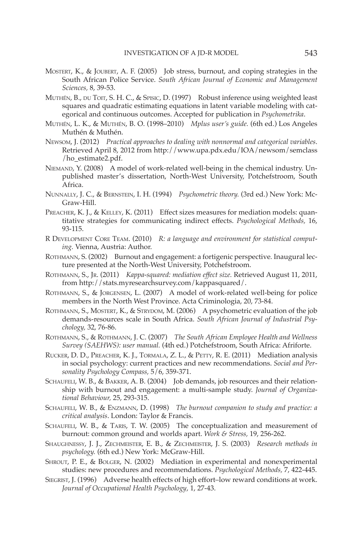- Mostert, K., & Joubert, A. F. (2005) Job stress, burnout, and coping strategies in the South African Police Service. *South African Journal of Economic and Management Sciences,* 8, 39-53.
- MUTHÉN, B., DU TOIT, S. H. C., & SPISIC, D. (1997) Robust inference using weighted least squares and quadratic estimating equations in latent variable modeling with categorical and continuous outcomes. Accepted for publication in *Psychometrika*.
- Muthén, L. K., & Muthén, B. O. (1998–2010) *Mplus user's guide.* (6th ed.) Los Angeles Muthén & Muthén.
- Newsom, J. (2012) *Practical approaches to dealing with nonnormal and categorical variables*. Retrieved April 8, 2012 from http://www.upa.pdx.edu/IOA/newsom/semclass /ho\_estimate2.pdf.
- Niemand, Y. (2008) A model of work-related well-being in the chemical industry. Unpublished master's dissertation, North-West University, Potchefstroom, South Africa.
- Nunnally, J. C., & Bernstein, I. H. (1994) *Psychometric theory.* (3rd ed.) New York: Mc-Graw-Hill.
- PREACHER, K. J., & KELLEY, K. (2011) Effect sizes measures for mediation models: quantitative strategies for communicating indirect effects. *Psychological Methods,* 16, 93-115.
- R Development Core Team. (2010) *R: a language and environment for statistical computing.* Vienna, Austria: Author.
- Rothmann, S. (2002) Burnout and engagement: a fortigenic perspective*.* Inaugural lecture presented at the North-West University, Potchefstroom.
- Rothmann, S., Jr. (2011) *Kappa-squared: mediation effect size.* Retrieved August 11, 2011, from http://stats.myresearchsurvey.com/kappasquared/.
- Rothmann, S., & Jorgensen, L. (2007) A model of work-related well-being for police members in the North West Province. Acta Criminologia, 20, 73-84.
- Rothmann, S., Mostert, K., & Strydom, M. (2006) A psychometric evaluation of the job demands-resources scale in South Africa. *South African Journal of Industrial Psychology,* 32, 76-86.
- Rothmann, S., & Rothmann, J. C. (2007) *The South African Employee Health and Wellness Survey (SAEHWS): user manual.* (4th ed.) Potchefstroom, South Africa: Afriforte.
- Rucker, D. D., Preacher, K. J., Tormala, Z. L., & Petty, R. E. (2011) Mediation analysis in social psychology: current practices and new recommendations. *Social and Personality Psychology Compass,* 5/6, 359-371.
- SCHAUFELI, W. B., & BAKKER, A. B. (2004) Job demands, job resources and their relationship with burnout and engagement: a multi-sample study. *Journal of Organizational Behaviour,* 25, 293-315.
- Schaufeli, W. B., & Enzmann, D. (1998) *The burnout companion to study and practice: a critical analysis*. London: Taylor & Francis.
- SCHAUFELI, W. B., & TARIS, T. W. (2005) The conceptualization and measurement of burnout: common ground and worlds apart. *Work & Stress,* 19, 256-262.
- Shaughnessy, J. J., Zechmeister, E. B., & Zechmeister, J. S. (2003) *Research methods in psychology.* (6th ed.) New York: McGraw-Hill.
- SHROUT, P. E., & BOLGER, N. (2002) Mediation in experimental and nonexperimental studies: new procedures and recommendations. *Psychological Methods,* 7, 422-445.
- SIEGRIST, J. (1996) Adverse health effects of high effort–low reward conditions at work. *Journal of Occupational Health Psychology*, 1, 27-43.